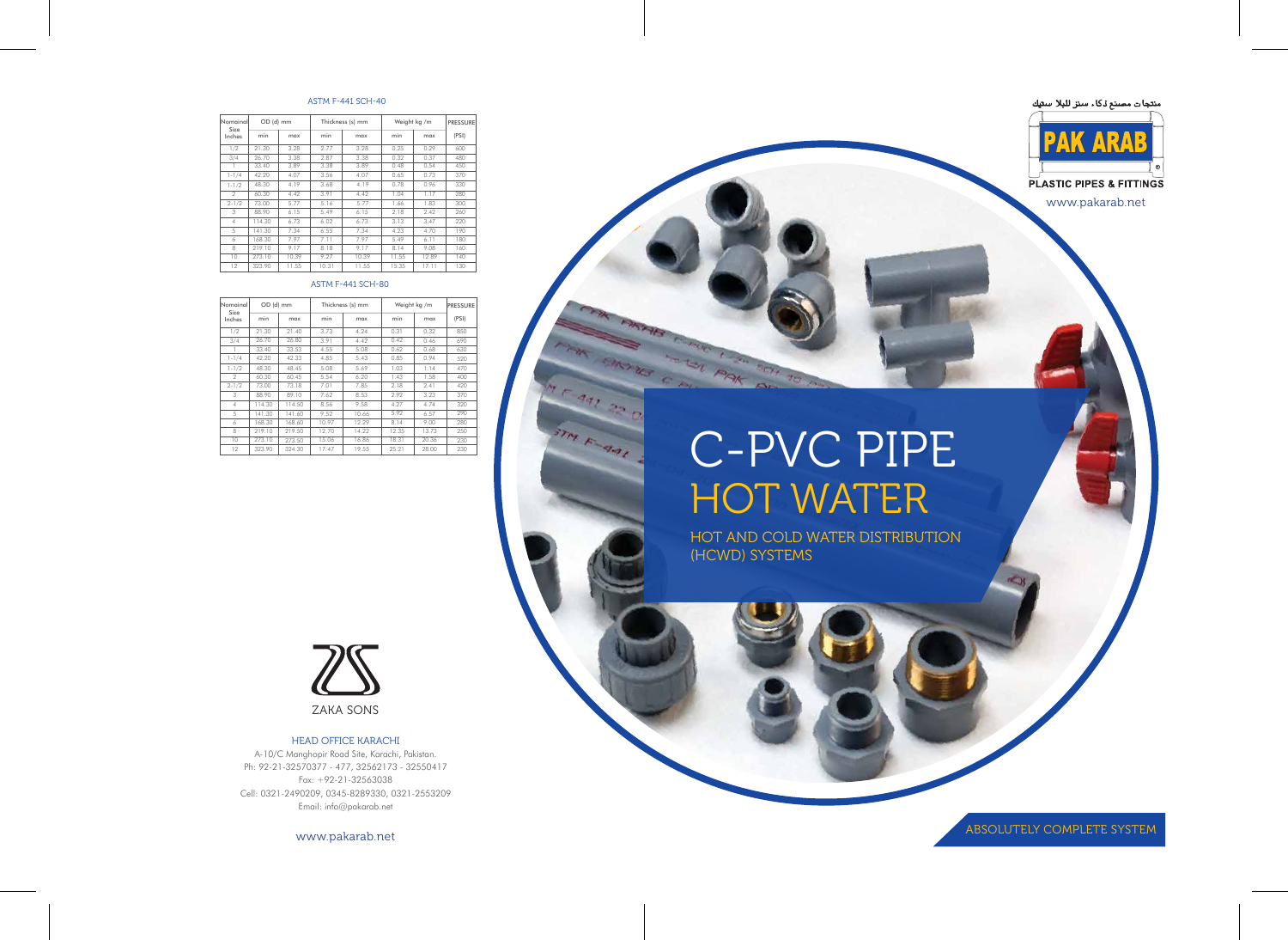# Lat PAK BEH KAB C PL C-PVC PIPE HOT WATER

441 25

STM F-441

HOT AND COLD WATER DISTRIBUTION (HCWD) SYSTEMS





www.pakarab.net

ABSOLUTELY COMPLETE SYSTEM

| Nomainal<br>Size<br>Inches | OD (d) mm |       | Thickness (s) mm |       | Weight kg /m |       | <b>PRESSURE</b> |
|----------------------------|-----------|-------|------------------|-------|--------------|-------|-----------------|
|                            | min       | max   | min              | max   | min          | max   | (PSI)           |
| 1/2                        | 21.30     | 3.28  | 2.77             | 3.28  | 0.25         | 0.29  | 600             |
| 3/4                        | 26.70     | 3.38  | 2.87             | 3.38  | 0.32         | 0.37  | 480             |
|                            | 33.40     | 3.89  | 3.38             | 3.89  | 0.48         | 0.54  | 450             |
| $1 - 1/4$                  | 42.20     | 4.07  | 3.56             | 4.07  | 0.65         | 0.73  | 370             |
| $1 - 1/2$                  | 48.30     | 4.19  | 3.68             | 4.19  | 0.78         | 0.96  | 330             |
| $\mathfrak{D}$             | 60.30     | 4.42  | 3.91             | 4.42  | 1.04         | 1.17  | 280             |
| $2 - 1/2$                  | 73.00     | 5.77  | 5.16             | 5.77  | 1.66         | 1.83  | 300             |
| 3                          | 88.90     | 6.15  | 5.49             | 6.15  | 2.18         | 2.42  | 260             |
| $\overline{4}$             | 114.30    | 6.73  | 6.02             | 6.73  | 3.13         | 3.47  | 220             |
| 5                          | 141.30    | 7.34  | 6.55             | 7.34  | 4.23         | 4.70  | 190             |
| 6                          | 168.30    | 7.97  | 7.11             | 7.97  | 5.49         | 6.11  | 180             |
| 8                          | 219.10    | 9.17  | 8.18             | 9.17  | 8.14         | 9.08  | 160             |
| 10                         | 273.10    | 10.39 | 9.27             | 10.39 | 11.55        | 12.89 | 140             |
| 12                         | 323.90    | 11.55 | 10.31            | 11.55 | 15.35        | 17.11 | 130             |

#### ASTM F-441 SCH-40

#### ASTM F-441 SCH-80

| Nomainal<br>Size<br>Inches | OD (d) mm |        | Thickness (s) mm |       | Weight kg /m |       | <b>PRESSURE</b> |
|----------------------------|-----------|--------|------------------|-------|--------------|-------|-----------------|
|                            | min       | max    | min              | max   | min          | max   | (PSI)           |
| 1/2                        | 21.30     | 21.40  | 3.73             | 4.24  | 0.31         | 0.32  | 850             |
| 3/4                        | 26.70     | 26.80  | 3.91             | 4.42  | 0.42         | 0.46  | 690             |
|                            | 33.40     | 33.53  | 4.55             | 5.08  | 0.62         | 0.68  | 630             |
| $1 - 1/4$                  | 42.20     | 42.33  | 4.85             | 5.43  | 0.85         | 0.94  | 520             |
| $1 - 1/2$                  | 48.30     | 48.45  | 5.08             | 5.69  | 1.03         | 1.14  | 470             |
| 2                          | 60.30     | 60.45  | 5.54             | 6.20  | 1.43         | 1.58  | 400             |
| $2 - 1/2$                  | 73.00     | 73.18  | 7.01             | 7.85  | 2.18         | 2.41  | 420             |
| 3                          | 88.90     | 89.10  | 7.62             | 8.53  | 2.92         | 3.23  | 370             |
| 4                          | 114.30    | 114.50 | 8.56             | 9.58  | 4.27         | 4.74  | 320             |
| 5                          | 141.30    | 141.60 | 9.52             | 10.66 | 5.92         | 6.57  | 290             |
| 6                          | 168.30    | 168.60 | 10.97            | 12.29 | 8.14         | 9.00  | 280             |
| 8                          | 219.10    | 219.50 | 12.70            | 14.22 | 12.35        | 13.73 | 250             |
| 10                         | 273.10    | 273.50 | 15.06            | 16.86 | 18.31        | 20.36 | 230             |
| 12                         | 323.90    | 324.30 | 17.47            | 19.55 | 25.21        | 28.00 | 230             |



#### HEAD OFFICE KARACHI

A-10/C Manghopir Road Site, Karachi, Pakistan. Ph: 92-21-32570377 - 477, 32562173 - 32550417 Fax: +92-21-32563038 Cell: 0321-2490209, 0345-8289330, 0321-2553209 Email: info@pakarab.net

www.pakarab.net